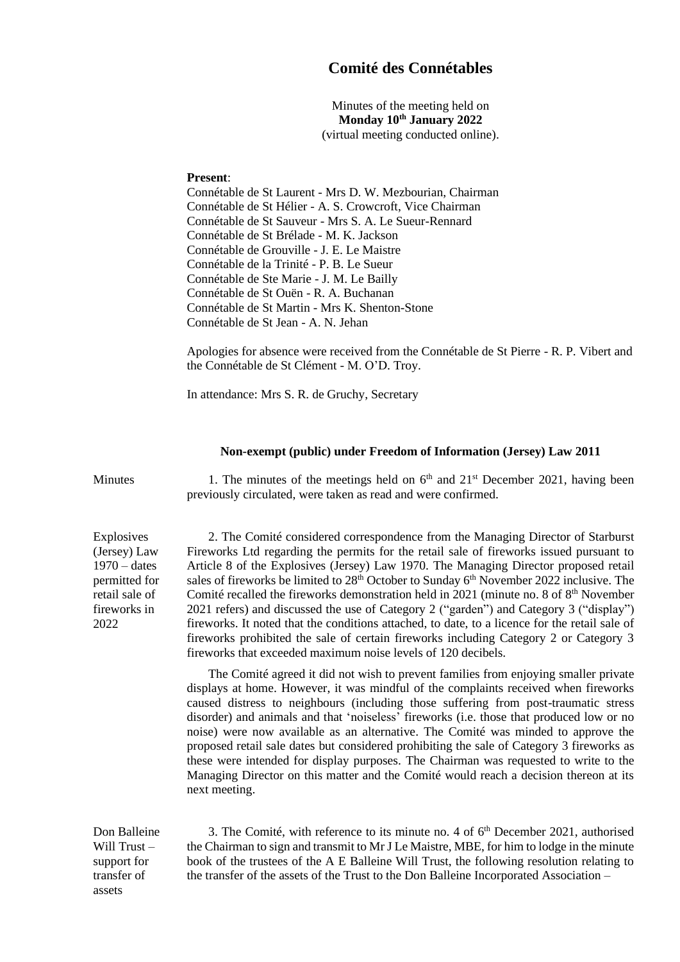## **Comité des Connétables**

Minutes of the meeting held on **Monday 10th January 2022** (virtual meeting conducted online).

## **Present**:

Connétable de St Laurent - Mrs D. W. Mezbourian, Chairman Connétable de St Hélier - A. S. Crowcroft, Vice Chairman Connétable de St Sauveur - Mrs S. A. Le Sueur-Rennard Connétable de St Brélade - M. K. Jackson Connétable de Grouville - J. E. Le Maistre Connétable de la Trinité - P. B. Le Sueur Connétable de Ste Marie - J. M. Le Bailly Connétable de St Ouën - R. A. Buchanan Connétable de St Martin - Mrs K. Shenton-Stone Connétable de St Jean - A. N. Jehan

Apologies for absence were received from the Connétable de St Pierre - R. P. Vibert and the Connétable de St Clément - M. O'D. Troy.

In attendance: Mrs S. R. de Gruchy, Secretary

## **Non-exempt (public) under Freedom of Information (Jersey) Law 2011**

Explosives (Jersey) Law  $1970 -$  dates permitted for retail sale of fireworks in 2022

Minutes 1. The minutes of the meetings held on  $6<sup>th</sup>$  and  $21<sup>st</sup>$  December 2021, having been previously circulated, were taken as read and were confirmed.

> 2. The Comité considered correspondence from the Managing Director of Starburst Fireworks Ltd regarding the permits for the retail sale of fireworks issued pursuant to Article 8 of the Explosives (Jersey) Law 1970. The Managing Director proposed retail sales of fireworks be limited to 28<sup>th</sup> October to Sunday 6<sup>th</sup> November 2022 inclusive. The Comité recalled the fireworks demonstration held in 2021 (minute no. 8 of  $8<sup>th</sup>$  November 2021 refers) and discussed the use of Category 2 ("garden") and Category 3 ("display") fireworks. It noted that the conditions attached, to date, to a licence for the retail sale of fireworks prohibited the sale of certain fireworks including Category 2 or Category 3 fireworks that exceeded maximum noise levels of 120 decibels.

> The Comité agreed it did not wish to prevent families from enjoying smaller private displays at home. However, it was mindful of the complaints received when fireworks caused distress to neighbours (including those suffering from post-traumatic stress disorder) and animals and that 'noiseless' fireworks (i.e. those that produced low or no noise) were now available as an alternative. The Comité was minded to approve the proposed retail sale dates but considered prohibiting the sale of Category 3 fireworks as these were intended for display purposes. The Chairman was requested to write to the Managing Director on this matter and the Comité would reach a decision thereon at its next meeting.

Don Balleine Will Trust – support for transfer of assets

3. The Comité, with reference to its minute no. 4 of  $6<sup>th</sup>$  December 2021, authorised the Chairman to sign and transmit to Mr J Le Maistre, MBE, for him to lodge in the minute book of the trustees of the A E Balleine Will Trust, the following resolution relating to the transfer of the assets of the Trust to the Don Balleine Incorporated Association –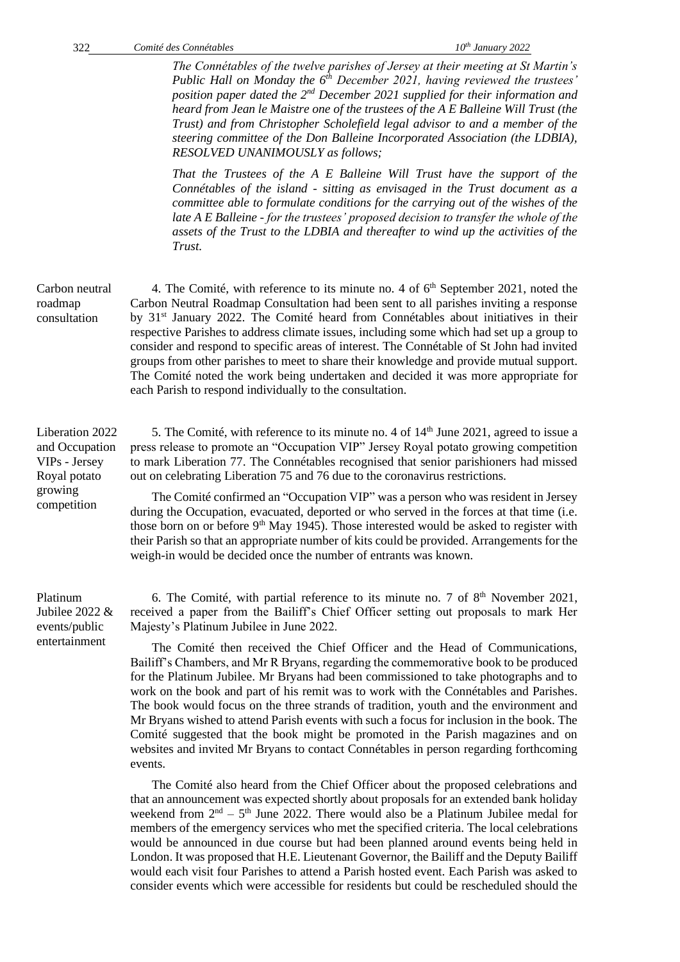*The Connétables of the twelve parishes of Jersey at their meeting at St Martin's Public Hall on Monday the 6th December 2021, having reviewed the trustees' position paper dated the 2nd December 2021 supplied for their information and heard from Jean le Maistre one of the trustees of the A E Balleine Will Trust (the Trust) and from Christopher Scholefield legal advisor to and a member of the steering committee of the Don Balleine Incorporated Association (the LDBIA), RESOLVED UNANIMOUSLY as follows;*

*That the Trustees of the A E Balleine Will Trust have the support of the Connétables of the island - sitting as envisaged in the Trust document as a committee able to formulate conditions for the carrying out of the wishes of the late A E Balleine - for the trustees' proposed decision to transfer the whole of the assets of the Trust to the LDBIA and thereafter to wind up the activities of the Trust.*

4. The Comité, with reference to its minute no. 4 of  $6<sup>th</sup>$  September 2021, noted the Carbon Neutral Roadmap Consultation had been sent to all parishes inviting a response by 31st January 2022. The Comité heard from Connétables about initiatives in their respective Parishes to address climate issues, including some which had set up a group to consider and respond to specific areas of interest. The Connétable of St John had invited groups from other parishes to meet to share their knowledge and provide mutual support. The Comité noted the work being undertaken and decided it was more appropriate for each Parish to respond individually to the consultation.

5. The Comité, with reference to its minute no. 4 of  $14<sup>th</sup>$  June 2021, agreed to issue a press release to promote an "Occupation VIP" Jersey Royal potato growing competition to mark Liberation 77. The Connétables recognised that senior parishioners had missed out on celebrating Liberation 75 and 76 due to the coronavirus restrictions.

The Comité confirmed an "Occupation VIP" was a person who was resident in Jersey during the Occupation, evacuated, deported or who served in the forces at that time (i.e. those born on or before  $9<sup>th</sup>$  May 1945). Those interested would be asked to register with their Parish so that an appropriate number of kits could be provided. Arrangements for the weigh-in would be decided once the number of entrants was known.

6. The Comité, with partial reference to its minute no. 7 of  $8<sup>th</sup>$  November 2021, received a paper from the Bailiff's Chief Officer setting out proposals to mark Her Majesty's Platinum Jubilee in June 2022.

The Comité then received the Chief Officer and the Head of Communications, Bailiff's Chambers, and Mr R Bryans, regarding the commemorative book to be produced for the Platinum Jubilee. Mr Bryans had been commissioned to take photographs and to work on the book and part of his remit was to work with the Connétables and Parishes. The book would focus on the three strands of tradition, youth and the environment and Mr Bryans wished to attend Parish events with such a focus for inclusion in the book. The Comité suggested that the book might be promoted in the Parish magazines and on websites and invited Mr Bryans to contact Connétables in person regarding forthcoming events.

The Comité also heard from the Chief Officer about the proposed celebrations and that an announcement was expected shortly about proposals for an extended bank holiday weekend from  $2<sup>nd</sup> - 5<sup>th</sup>$  June 2022. There would also be a Platinum Jubilee medal for members of the emergency services who met the specified criteria. The local celebrations would be announced in due course but had been planned around events being held in London. It was proposed that H.E. Lieutenant Governor, the Bailiff and the Deputy Bailiff would each visit four Parishes to attend a Parish hosted event. Each Parish was asked to consider events which were accessible for residents but could be rescheduled should the

Carbon neutral roadmap consultation

Liberation 2022 and Occupation VIPs - Jersey Royal potato growing competition

Platinum Jubilee 2022 & events/public entertainment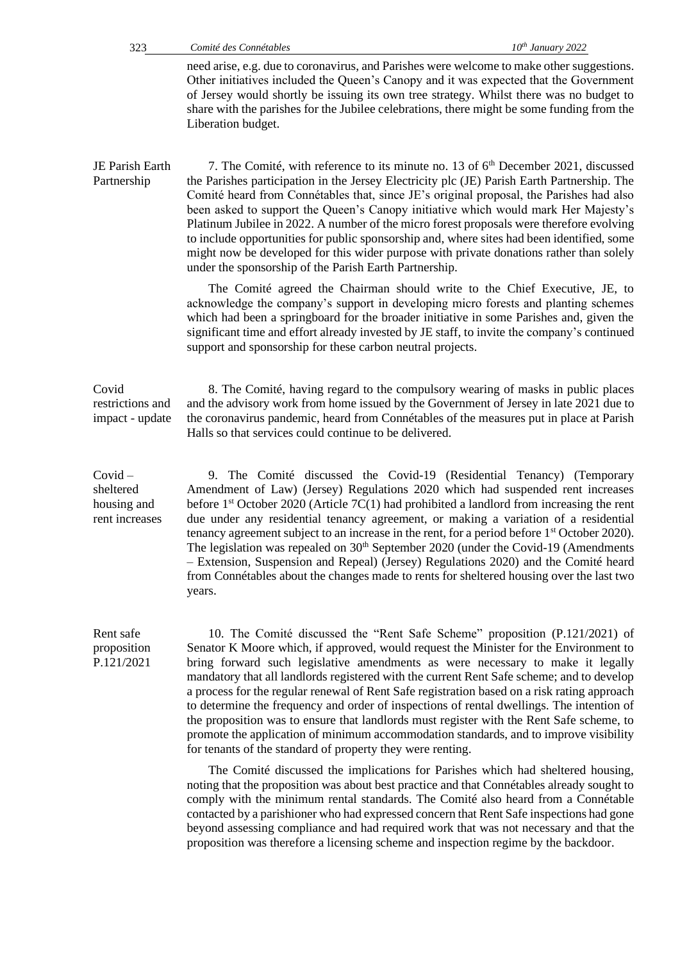need arise, e.g. due to coronavirus, and Parishes were welcome to make other suggestions. Other initiatives included the Queen's Canopy and it was expected that the Government of Jersey would shortly be issuing its own tree strategy. Whilst there was no budget to share with the parishes for the Jubilee celebrations, there might be some funding from the Liberation budget.

JE Parish Earth Partnership 7. The Comité, with reference to its minute no. 13 of  $6<sup>th</sup>$  December 2021, discussed the Parishes participation in the Jersey Electricity plc (JE) Parish Earth Partnership. The Comité heard from Connétables that, since JE's original proposal, the Parishes had also been asked to support the Queen's Canopy initiative which would mark Her Majesty's Platinum Jubilee in 2022. A number of the micro forest proposals were therefore evolving to include opportunities for public sponsorship and, where sites had been identified, some might now be developed for this wider purpose with private donations rather than solely under the sponsorship of the Parish Earth Partnership.

> The Comité agreed the Chairman should write to the Chief Executive, JE, to acknowledge the company's support in developing micro forests and planting schemes which had been a springboard for the broader initiative in some Parishes and, given the significant time and effort already invested by JE staff, to invite the company's continued support and sponsorship for these carbon neutral projects.

Covid restrictions and impact - update

8. The Comité, having regard to the compulsory wearing of masks in public places and the advisory work from home issued by the Government of Jersey in late 2021 due to the coronavirus pandemic, heard from Connétables of the measures put in place at Parish Halls so that services could continue to be delivered.

9. The Comité discussed the Covid-19 (Residential Tenancy) (Temporary Amendment of Law) (Jersey) Regulations 2020 which had suspended rent increases before  $1<sup>st</sup>$  October 2020 (Article 7C(1) had prohibited a landlord from increasing the rent due under any residential tenancy agreement, or making a variation of a residential tenancy agreement subject to an increase in the rent, for a period before 1<sup>st</sup> October 2020). The legislation was repealed on  $30<sup>th</sup>$  September 2020 (under the Covid-19 (Amendments – [Extension, Suspension and Repeal\) \(Jersey\) Regulations 2020\)](https://statesassembly.gov.je/assemblypropositions/2020/p.103-2020.pdf) and the Comité heard from Connétables about the changes made to rents for sheltered housing over the last two years.

Rent safe proposition P.121/2021

Covid – sheltered housing and rent increases

> 10. The Comité discussed the "Rent Safe Scheme" proposition (P.121/2021) of Senator K Moore which, if approved, would request the Minister for the Environment to bring forward such legislative amendments as were necessary to make it legally mandatory that all landlords registered with the current Rent Safe scheme; and to develop a process for the regular renewal of Rent Safe registration based on a risk rating approach to determine the frequency and order of inspections of rental dwellings. The intention of the proposition was to ensure that landlords must register with the Rent Safe scheme, to promote the application of minimum accommodation standards, and to improve visibility for tenants of the standard of property they were renting.

> The Comité discussed the implications for Parishes which had sheltered housing, noting that the proposition was about best practice and that Connétables already sought to comply with the minimum rental standards. The Comité also heard from a Connétable contacted by a parishioner who had expressed concern that Rent Safe inspections had gone beyond assessing compliance and had required work that was not necessary and that the proposition was therefore a licensing scheme and inspection regime by the backdoor.